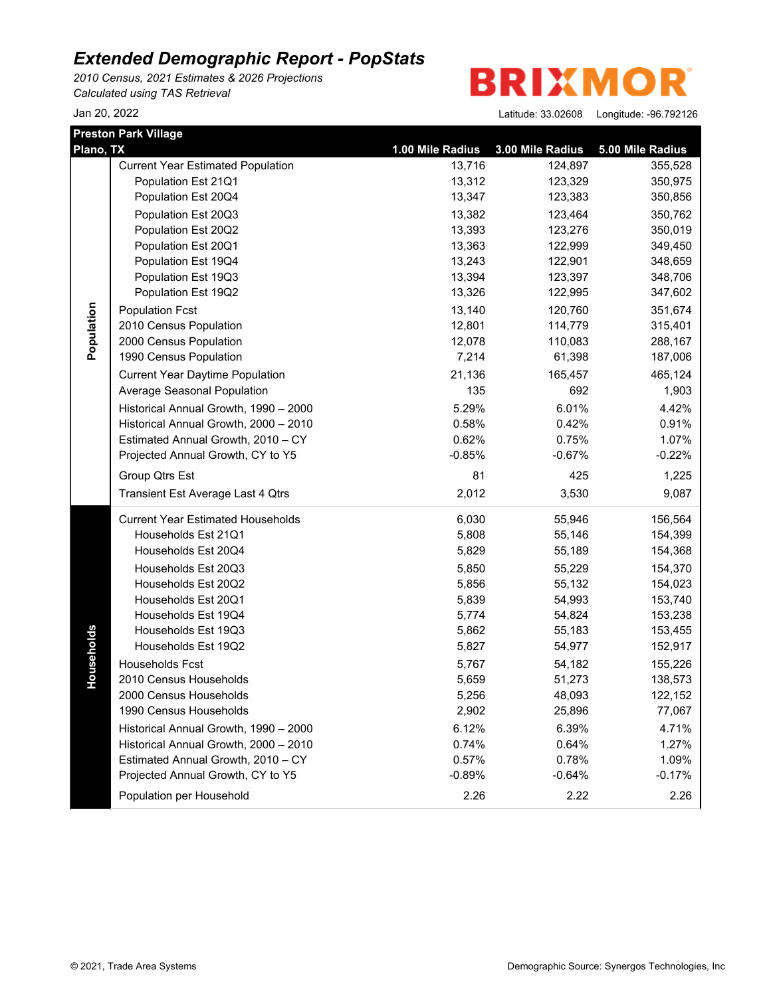*2010 Census, 2021 Estimates & 2026 Projections Calculated using TAS Retrieval*

**BRIXMOR** 

|            | <b>Preston Park Village</b>              |                  |                  |                  |
|------------|------------------------------------------|------------------|------------------|------------------|
| Plano, TX  |                                          | 1.00 Mile Radius | 3.00 Mile Radius | 5.00 Mile Radius |
|            | <b>Current Year Estimated Population</b> | 13,716           | 124,897          | 355,528          |
|            | Population Est 21Q1                      | 13,312           | 123,329          | 350,975          |
|            | Population Est 20Q4                      | 13,347           | 123,383          | 350,856          |
|            | Population Est 20Q3                      | 13,382           | 123,464          | 350,762          |
|            | Population Est 20Q2                      | 13,393           | 123,276          | 350,019          |
|            | Population Est 20Q1                      | 13,363           | 122,999          | 349,450          |
|            | Population Est 19Q4                      | 13,243           | 122,901          | 348,659          |
|            | Population Est 19Q3                      | 13,394           | 123,397          | 348,706          |
|            | Population Est 19Q2                      | 13,326           | 122,995          | 347,602          |
| Population | <b>Population Fcst</b>                   | 13,140           | 120,760          | 351,674          |
|            | 2010 Census Population                   | 12,801           | 114,779          | 315,401          |
|            | 2000 Census Population                   | 12,078           | 110,083          | 288,167          |
|            | 1990 Census Population                   | 7,214            | 61,398           | 187,006          |
|            | <b>Current Year Daytime Population</b>   | 21,136           | 165,457          | 465,124          |
|            | Average Seasonal Population              | 135              | 692              | 1,903            |
|            | Historical Annual Growth, 1990 - 2000    | 5.29%            | 6.01%            | 4.42%            |
|            | Historical Annual Growth, 2000 - 2010    | 0.58%            | 0.42%            | 0.91%            |
|            | Estimated Annual Growth, 2010 - CY       | 0.62%            | 0.75%            | 1.07%            |
|            | Projected Annual Growth, CY to Y5        | $-0.85%$         | $-0.67%$         | $-0.22%$         |
|            | Group Qtrs Est                           | 81               | 425              | 1,225            |
|            | Transient Est Average Last 4 Qtrs        | 2,012            | 3,530            | 9,087            |
|            | <b>Current Year Estimated Households</b> | 6,030            | 55,946           | 156,564          |
|            | Households Est 21Q1                      | 5,808            | 55,146           | 154,399          |
|            | Households Est 20Q4                      | 5,829            | 55,189           | 154,368          |
|            | Households Est 20Q3                      | 5,850            | 55,229           | 154,370          |
|            | Households Est 20Q2                      | 5,856            | 55,132           | 154,023          |
|            | Households Est 20Q1                      | 5,839            | 54,993           | 153,740          |
|            | Households Est 19Q4                      | 5,774            | 54,824           | 153,238          |
|            | Households Est 19Q3                      | 5,862            | 55,183           | 153,455          |
|            | Households Est 19Q2                      | 5,827            | 54,977           | 152,917          |
|            | Households Fcst                          | 5,767            | 54,182           | 155,226          |
| Households | 2010 Census Households                   | 5,659            | 51,273           | 138,573          |
|            | 2000 Census Households                   | 5,256            | 48,093           | 122,152          |
|            | 1990 Census Households                   | 2,902            | 25,896           | 77,067           |
|            | Historical Annual Growth, 1990 - 2000    | 6.12%            | 6.39%            | 4.71%            |
|            | Historical Annual Growth, 2000 - 2010    | 0.74%            | 0.64%            | 1.27%            |
|            | Estimated Annual Growth, 2010 - CY       | 0.57%            | 0.78%            | 1.09%            |
|            | Projected Annual Growth, CY to Y5        | $-0.89%$         | $-0.64%$         | $-0.17%$         |
|            | Population per Household                 | 2.26             | 2.22             | 2.26             |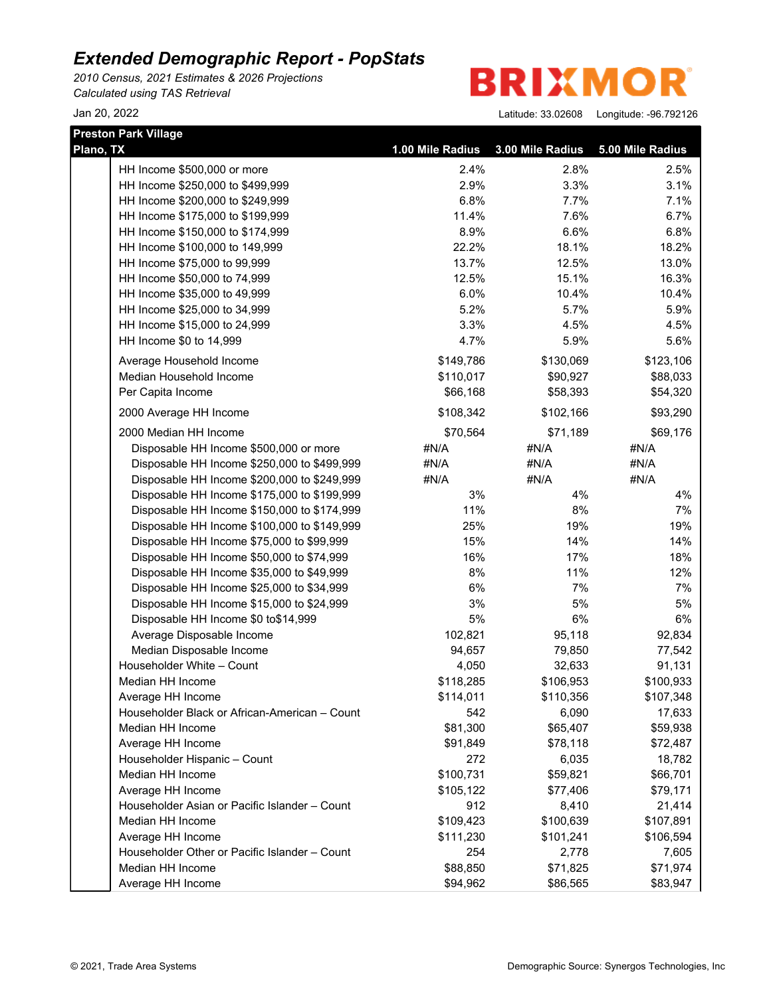*2010 Census, 2021 Estimates & 2026 Projections Calculated using TAS Retrieval*

**BRIXMOR** 

| <b>Preston Park Village</b>                   |                  |                  |                  |  |
|-----------------------------------------------|------------------|------------------|------------------|--|
| Plano, TX                                     | 1.00 Mile Radius | 3.00 Mile Radius | 5.00 Mile Radius |  |
| HH Income \$500,000 or more                   | 2.4%             | 2.8%             | 2.5%             |  |
| HH Income \$250,000 to \$499,999              | 2.9%             | 3.3%             | 3.1%             |  |
| HH Income \$200,000 to \$249,999              | 6.8%             | 7.7%             | 7.1%             |  |
| HH Income \$175,000 to \$199,999              | 11.4%            | 7.6%             | 6.7%             |  |
| HH Income \$150,000 to \$174,999              | 8.9%             | 6.6%             | 6.8%             |  |
| HH Income \$100,000 to 149,999                | 22.2%            | 18.1%            | 18.2%            |  |
| HH Income \$75,000 to 99,999                  | 13.7%            | 12.5%            | 13.0%            |  |
| HH Income \$50,000 to 74,999                  | 12.5%            | 15.1%            | 16.3%            |  |
| HH Income \$35,000 to 49,999                  | 6.0%             | 10.4%            | 10.4%            |  |
| HH Income \$25,000 to 34,999                  | 5.2%             | 5.7%             | 5.9%             |  |
| HH Income \$15,000 to 24,999                  | 3.3%             | 4.5%             | 4.5%             |  |
| HH Income \$0 to 14,999                       | 4.7%             | 5.9%             | 5.6%             |  |
| Average Household Income                      | \$149,786        | \$130,069        | \$123,106        |  |
| Median Household Income                       | \$110,017        | \$90,927         | \$88,033         |  |
| Per Capita Income                             | \$66,168         | \$58,393         | \$54,320         |  |
| 2000 Average HH Income                        | \$108,342        | \$102,166        | \$93,290         |  |
| 2000 Median HH Income                         | \$70,564         | \$71,189         | \$69,176         |  |
| Disposable HH Income \$500,000 or more        | #N/A             | #N/A             | #N/A             |  |
| Disposable HH Income \$250,000 to \$499,999   | #N/A             | #N/A             | #N/A             |  |
| Disposable HH Income \$200,000 to \$249,999   | #N/A             | #N/A             | #N/A             |  |
| Disposable HH Income \$175,000 to \$199,999   | 3%               | 4%               | 4%               |  |
| Disposable HH Income \$150,000 to \$174,999   | 11%              | 8%               | 7%               |  |
| Disposable HH Income \$100,000 to \$149,999   | 25%              | 19%              | 19%              |  |
| Disposable HH Income \$75,000 to \$99,999     | 15%              | 14%              | 14%              |  |
| Disposable HH Income \$50,000 to \$74,999     | 16%              | 17%              | 18%              |  |
| Disposable HH Income \$35,000 to \$49,999     | 8%               | 11%              | 12%              |  |
| Disposable HH Income \$25,000 to \$34,999     | 6%               | 7%               | 7%               |  |
| Disposable HH Income \$15,000 to \$24,999     | 3%               | 5%               | 5%               |  |
| Disposable HH Income \$0 to\$14,999           | 5%               | 6%               | 6%               |  |
| Average Disposable Income                     | 102,821          | 95,118           | 92,834           |  |
| Median Disposable Income                      | 94,657           | 79,850           | 77,542           |  |
| Householder White - Count                     | 4,050            | 32,633           | 91,131           |  |
| Median HH Income                              | \$118,285        | \$106,953        | \$100,933        |  |
| Average HH Income                             | \$114,011        | \$110,356        | \$107,348        |  |
| Householder Black or African-American - Count | 542              | 6,090            | 17,633           |  |
| Median HH Income                              | \$81,300         | \$65,407         | \$59,938         |  |
| Average HH Income                             | \$91,849         | \$78,118         | \$72,487         |  |
| Householder Hispanic - Count                  | 272              | 6,035            | 18,782           |  |
| Median HH Income                              | \$100,731        | \$59,821         | \$66,701         |  |
| Average HH Income                             | \$105,122        | \$77,406         | \$79,171         |  |
| Householder Asian or Pacific Islander - Count | 912              | 8,410            | 21,414           |  |
| Median HH Income                              | \$109,423        | \$100,639        | \$107,891        |  |
| Average HH Income                             | \$111,230        | \$101,241        | \$106,594        |  |
| Householder Other or Pacific Islander - Count | 254              | 2,778            | 7,605            |  |
| Median HH Income                              | \$88,850         | \$71,825         | \$71,974         |  |
| Average HH Income                             | \$94,962         | \$86,565         | \$83,947         |  |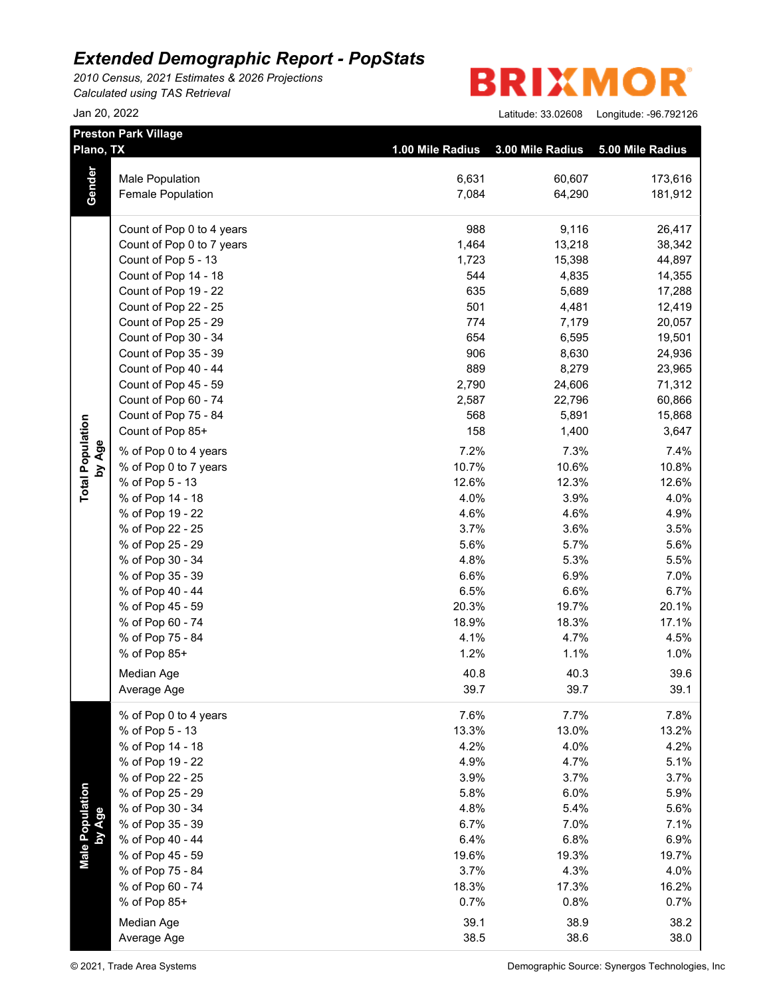*2010 Census, 2021 Estimates & 2026 Projections Calculated using TAS Retrieval*

|                           | <b>Preston Park Village</b> |                  |                  |                  |
|---------------------------|-----------------------------|------------------|------------------|------------------|
| Plano, TX                 |                             | 1.00 Mile Radius | 3.00 Mile Radius | 5.00 Mile Radius |
|                           | Male Population             | 6,631            | 60,607           | 173,616          |
| Gender                    | Female Population           | 7,084            | 64,290           | 181,912          |
|                           |                             |                  |                  |                  |
|                           | Count of Pop 0 to 4 years   | 988              | 9,116            | 26,417           |
|                           | Count of Pop 0 to 7 years   | 1,464            | 13,218           | 38,342           |
|                           | Count of Pop 5 - 13         | 1,723            | 15,398           | 44,897           |
|                           | Count of Pop 14 - 18        | 544              | 4,835            | 14,355           |
|                           | Count of Pop 19 - 22        | 635              | 5,689            | 17,288           |
|                           | Count of Pop 22 - 25        | 501              | 4,481            | 12,419           |
|                           | Count of Pop 25 - 29        | 774              | 7,179            | 20,057           |
|                           | Count of Pop 30 - 34        | 654              | 6,595            | 19,501           |
|                           | Count of Pop 35 - 39        | 906              | 8,630            | 24,936           |
|                           | Count of Pop 40 - 44        | 889              | 8,279            | 23,965           |
|                           | Count of Pop 45 - 59        | 2,790            | 24,606           | 71,312           |
|                           | Count of Pop 60 - 74        | 2,587            | 22,796           | 60,866           |
|                           | Count of Pop 75 - 84        | 568              | 5,891            | 15,868           |
|                           | Count of Pop 85+            | 158              | 1,400            | 3,647            |
| by Age                    | % of Pop 0 to 4 years       | 7.2%             | 7.3%             | 7.4%             |
|                           | % of Pop 0 to 7 years       | 10.7%            | 10.6%            | 10.8%            |
| <b>Total Population</b>   | % of Pop 5 - 13             | 12.6%            | 12.3%            | 12.6%            |
|                           | % of Pop 14 - 18            | 4.0%             | 3.9%             | 4.0%             |
|                           | % of Pop 19 - 22            | 4.6%             | 4.6%             | 4.9%             |
|                           | % of Pop 22 - 25            | 3.7%             | 3.6%             | 3.5%             |
|                           | % of Pop 25 - 29            | 5.6%             | 5.7%             | 5.6%             |
|                           | % of Pop 30 - 34            | 4.8%             | 5.3%             | 5.5%             |
|                           | % of Pop 35 - 39            | 6.6%             | 6.9%             | 7.0%             |
|                           | % of Pop 40 - 44            | 6.5%             | 6.6%             | 6.7%             |
|                           | % of Pop 45 - 59            | 20.3%            | 19.7%            | 20.1%            |
|                           | % of Pop 60 - 74            | 18.9%            | 18.3%            | 17.1%            |
|                           | % of Pop 75 - 84            | 4.1%             | 4.7%             | 4.5%             |
|                           | % of Pop 85+                | 1.2%             | 1.1%             | 1.0%             |
|                           | Median Age                  | 40.8             | 40.3             | 39.6             |
|                           | Average Age                 | 39.7             | 39.7             | 39.1             |
|                           | % of Pop 0 to 4 years       | 7.6%             | 7.7%             | 7.8%             |
|                           | % of Pop 5 - 13             | 13.3%            | 13.0%            | 13.2%            |
|                           | % of Pop 14 - 18            | 4.2%             | 4.0%             | 4.2%             |
|                           | % of Pop 19 - 22            | 4.9%             | 4.7%             | 5.1%             |
|                           | % of Pop 22 - 25            | 3.9%             | 3.7%             | 3.7%             |
|                           | % of Pop 25 - 29            | 5.8%             | 6.0%             | 5.9%             |
| Male Population<br>by Age | % of Pop 30 - 34            | 4.8%             | 5.4%             | 5.6%             |
|                           | % of Pop 35 - 39            | 6.7%             | 7.0%             | 7.1%             |
|                           | % of Pop 40 - 44            | 6.4%             | 6.8%             | 6.9%             |
|                           | % of Pop 45 - 59            | 19.6%            | 19.3%            | 19.7%            |
|                           | % of Pop 75 - 84            | 3.7%             | 4.3%             | 4.0%             |
|                           | % of Pop 60 - 74            | 18.3%            | 17.3%            | 16.2%            |
|                           | % of Pop 85+                | 0.7%             | 0.8%             | 0.7%             |
|                           | Median Age                  | 39.1             | 38.9             | 38.2             |
|                           |                             |                  |                  |                  |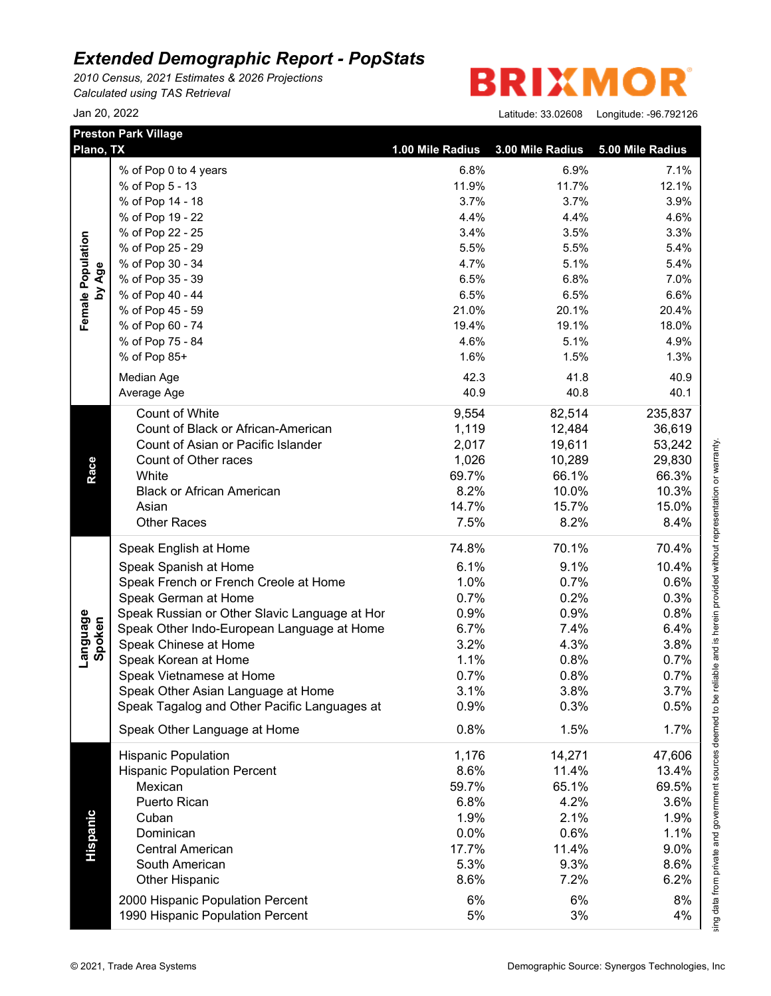*2010 Census, 2021 Estimates & 2026 Projections Calculated using TAS Retrieval*

| Plano, TX          | <b>Preston Park Village</b>                   | 1.00 Mile Radius | 3.00 Mile Radius | 5.00 Mile Radius |
|--------------------|-----------------------------------------------|------------------|------------------|------------------|
|                    | % of Pop 0 to 4 years                         | 6.8%             | 6.9%             | 7.1%             |
|                    | % of Pop 5 - 13                               | 11.9%            | 11.7%            | 12.1%            |
|                    | % of Pop 14 - 18                              | 3.7%             | 3.7%             | 3.9%             |
|                    | % of Pop 19 - 22                              | 4.4%             | 4.4%             | 4.6%             |
| Female Population  | % of Pop 22 - 25                              | 3.4%             | 3.5%             | 3.3%             |
|                    | % of Pop 25 - 29                              | 5.5%             | 5.5%             | 5.4%             |
|                    | % of Pop 30 - 34                              | 4.7%             | 5.1%             | 5.4%             |
| by Age             | % of Pop 35 - 39                              | 6.5%             | 6.8%             | 7.0%             |
|                    | % of Pop 40 - 44                              | 6.5%             | 6.5%             | 6.6%             |
|                    | % of Pop 45 - 59                              | 21.0%            | 20.1%            | 20.4%            |
|                    | % of Pop 60 - 74                              | 19.4%            | 19.1%            | 18.0%            |
|                    | % of Pop 75 - 84                              | 4.6%             | 5.1%             | 4.9%             |
|                    | % of Pop 85+                                  | 1.6%             | 1.5%             | 1.3%             |
|                    |                                               |                  |                  |                  |
|                    | Median Age                                    | 42.3             | 41.8             | 40.9             |
|                    | Average Age                                   | 40.9             | 40.8             | 40.1             |
|                    | Count of White                                | 9,554            | 82,514           | 235,837          |
|                    | Count of Black or African-American            | 1,119            | 12,484           | 36,619           |
|                    | Count of Asian or Pacific Islander            | 2,017            | 19,611           | 53,242           |
|                    | Count of Other races                          | 1,026            | 10,289           | 29,830           |
| Race               | White                                         | 69.7%            | 66.1%            | 66.3%            |
|                    | <b>Black or African American</b>              | 8.2%             | 10.0%            | 10.3%            |
|                    | Asian                                         | 14.7%            | 15.7%            | 15.0%            |
|                    | <b>Other Races</b>                            | 7.5%             | 8.2%             | 8.4%             |
|                    | Speak English at Home                         | 74.8%            | 70.1%            | 70.4%            |
|                    | Speak Spanish at Home                         | 6.1%             | 9.1%             | 10.4%            |
|                    | Speak French or French Creole at Home         | 1.0%             | 0.7%             | 0.6%             |
|                    | Speak German at Home                          | 0.7%             | 0.2%             | 0.3%             |
|                    | Speak Russian or Other Slavic Language at Hor | 0.9%             | 0.9%             | 0.8%             |
|                    | Speak Other Indo-European Language at Home    | 6.7%             | 7.4%             | 6.4%             |
|                    | Speak Chinese at Home                         | 3.2%             | 4.3%             | 3.8%             |
| Language<br>Spoken | Speak Korean at Home                          | 1.1%             | 0.8%             | 0.7%             |
|                    | Speak Vietnamese at Home                      | 0.7%             | 0.8%             | 0.7%             |
|                    | Speak Other Asian Language at Home            | 3.1%             | 3.8%             | 3.7%             |
|                    | Speak Tagalog and Other Pacific Languages at  | 0.9%             | 0.3%             | 0.5%             |
|                    | Speak Other Language at Home                  | 0.8%             | 1.5%             | 1.7%             |
|                    | <b>Hispanic Population</b>                    | 1,176            | 14,271           | 47,606           |
|                    | <b>Hispanic Population Percent</b>            | 8.6%             | 11.4%            | 13.4%            |
|                    |                                               |                  |                  |                  |
|                    | Mexican                                       | 59.7%            | 65.1%            | 69.5%            |
|                    | Puerto Rican                                  | 6.8%             | 4.2%             | 3.6%             |
|                    | Cuban                                         | 1.9%             | 2.1%             | 1.9%             |
|                    | Dominican                                     | 0.0%             | 0.6%             | 1.1%             |
| Hispanic           | <b>Central American</b>                       | 17.7%            | 11.4%            | 9.0%             |
|                    | South American                                | 5.3%             | 9.3%             | 8.6%             |
|                    | <b>Other Hispanic</b>                         | 8.6%             | 7.2%             | 6.2%             |
|                    | 2000 Hispanic Population Percent              | 6%               | 6%               | 8%               |
|                    |                                               | 5%               | 3%               | 4%               |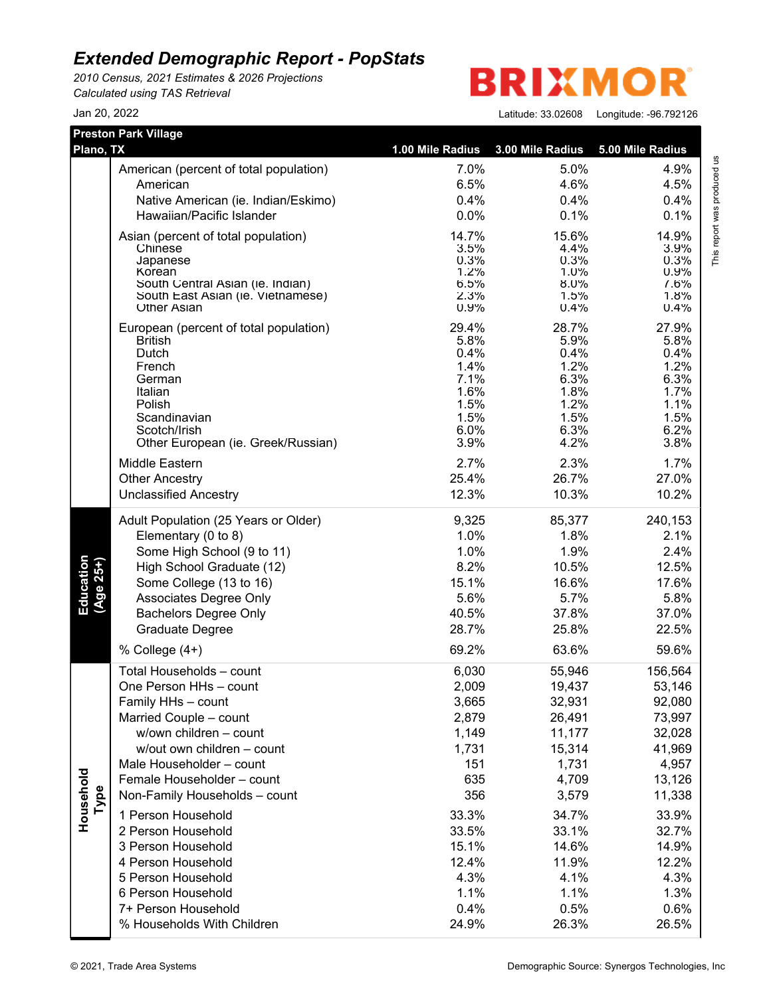*2010 Census, 2021 Estimates & 2026 Projections Calculated using TAS Retrieval*

## **BRIXMO** R

| <b>Preston Park Village</b> |                                                    |                  |                  |                  |
|-----------------------------|----------------------------------------------------|------------------|------------------|------------------|
| Plano, TX                   |                                                    | 1.00 Mile Radius | 3.00 Mile Radius | 5.00 Mile Radius |
|                             | American (percent of total population)             | 7.0%             | 5.0%             | 4.9%             |
|                             | American                                           | 6.5%             | 4.6%             | 4.5%             |
|                             | Native American (ie. Indian/Eskimo)                | 0.4%             | 0.4%             | 0.4%             |
|                             | Hawaiian/Pacific Islander                          | 0.0%             | 0.1%             | 0.1%             |
|                             | Asian (percent of total population)                | 14.7%            | 15.6%            | 14.9%            |
|                             | Chinese                                            | 3.5%             | 4.4%             | 3.9%             |
|                             | Japanese                                           | 0.3%             | 0.3%             | 0.3%             |
|                             | Korean<br>South Central Asian (ie. Indian)         | 1.2%<br>6.5%     | 1.0%<br>8.0%     | 0.9%<br>7.6%     |
|                             | South East Asian (ie. Vietnamese)                  | 2.3%             | 1.5%             | 1.8%             |
|                             | <b>Other Asian</b>                                 | 0.9%             | 0.4%             | 0.4%             |
|                             | European (percent of total population)             | 29.4%            | 28.7%            | 27.9%            |
|                             | <b>British</b>                                     | 5.8%             | 5.9%             | 5.8%             |
|                             | Dutch<br>French                                    | 0.4%<br>1.4%     | 0.4%<br>1.2%     | 0.4%<br>1.2%     |
|                             | German                                             | 7.1%             | 6.3%             | 6.3%             |
|                             | Italian                                            | 1.6%             | 1.8%             | 1.7%             |
|                             | Polish                                             | 1.5%             | 1.2%             | 1.1%             |
|                             | Scandinavian                                       | 1.5%             | 1.5%             | 1.5%             |
|                             | Scotch/Irish<br>Other European (ie. Greek/Russian) | 6.0%<br>3.9%     | 6.3%<br>4.2%     | 6.2%<br>3.8%     |
|                             |                                                    |                  |                  |                  |
|                             | Middle Eastern                                     | 2.7%             | 2.3%             | 1.7%             |
|                             | <b>Other Ancestry</b>                              | 25.4%            | 26.7%            | 27.0%            |
|                             | <b>Unclassified Ancestry</b>                       | 12.3%            | 10.3%            | 10.2%            |
|                             | Adult Population (25 Years or Older)               | 9,325            | 85,377           | 240,153          |
|                             | Elementary (0 to 8)                                | 1.0%             | 1.8%             | 2.1%             |
|                             | Some High School (9 to 11)                         | 1.0%             | 1.9%             | 2.4%             |
|                             | High School Graduate (12)                          | 8.2%             | 10.5%            | 12.5%            |
|                             | Some College (13 to 16)                            | 15.1%            | 16.6%            | 17.6%            |
| Education<br>$(Age 25+)$    | Associates Degree Only                             | 5.6%             | 5.7%             | 5.8%             |
|                             | <b>Bachelors Degree Only</b>                       | 40.5%            | 37.8%            | 37.0%            |
|                             | <b>Graduate Degree</b>                             | 28.7%            | 25.8%            | 22.5%            |
|                             | % College $(4+)$                                   | 69.2%            | 63.6%            | 59.6%            |
|                             | Total Households - count                           | 6,030            | 55,946           | 156,564          |
|                             | One Person HHs - count                             | 2,009            | 19,437           | 53,146           |
|                             | Family HHs - count                                 | 3,665            | 32,931           | 92,080           |
|                             | Married Couple - count                             | 2,879            | 26,491           | 73,997           |
|                             | w/own children - count                             | 1,149            | 11,177           | 32,028           |
|                             | w/out own children - count                         | 1,731            | 15,314           | 41,969           |
|                             | Male Householder - count                           | 151              | 1,731            | 4,957            |
|                             | Female Householder - count                         | 635              | 4,709            | 13,126           |
| Type                        | Non-Family Households - count                      | 356              | 3,579            | 11,338           |
| Household                   | 1 Person Household                                 | 33.3%            | 34.7%            | 33.9%            |
|                             | 2 Person Household                                 | 33.5%            | 33.1%            | 32.7%            |
|                             | 3 Person Household                                 | 15.1%            | 14.6%            | 14.9%            |
|                             | 4 Person Household                                 | 12.4%            | 11.9%            | 12.2%            |
|                             | 5 Person Household                                 | 4.3%             | 4.1%             | 4.3%             |
|                             | 6 Person Household                                 | 1.1%             | 1.1%             | 1.3%             |
|                             | 7+ Person Household                                | 0.4%             | 0.5%             | 0.6%             |
|                             | % Households With Children                         | 24.9%            | 26.3%            | 26.5%            |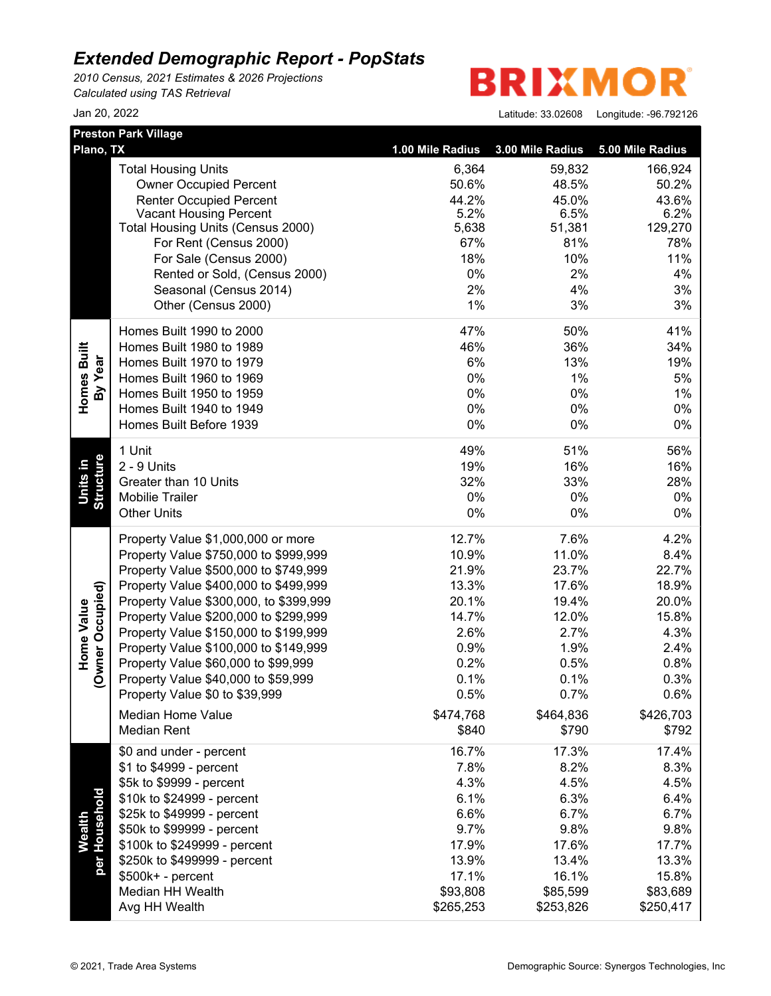*2010 Census, 2021 Estimates & 2026 Projections Calculated using TAS Retrieval*

**BRIXMO** R

|                  | <b>Preston Park Village</b>                      |                  |                  |                  |
|------------------|--------------------------------------------------|------------------|------------------|------------------|
| Plano, TX        |                                                  | 1.00 Mile Radius | 3.00 Mile Radius | 5.00 Mile Radius |
|                  | <b>Total Housing Units</b>                       | 6,364            | 59,832           | 166,924          |
|                  | <b>Owner Occupied Percent</b>                    | 50.6%            | 48.5%            | 50.2%            |
|                  | <b>Renter Occupied Percent</b>                   | 44.2%            | 45.0%            | 43.6%            |
|                  | <b>Vacant Housing Percent</b>                    | 5.2%             | 6.5%             | 6.2%             |
|                  | Total Housing Units (Census 2000)                | 5,638            | 51,381           | 129,270          |
|                  | For Rent (Census 2000)<br>For Sale (Census 2000) | 67%<br>18%       | 81%<br>10%       | 78%<br>11%       |
|                  |                                                  | $0\%$            | 2%               | 4%               |
|                  | Rented or Sold, (Census 2000)                    | 2%               | 4%               | 3%               |
|                  | Seasonal (Census 2014)<br>Other (Census 2000)    | 1%               | 3%               | 3%               |
|                  |                                                  |                  |                  |                  |
|                  | Homes Built 1990 to 2000                         | 47%              | 50%              | 41%              |
| Homes Built      | Homes Built 1980 to 1989                         | 46%              | 36%              | 34%              |
| By Year          | Homes Built 1970 to 1979                         | 6%               | 13%              | 19%              |
|                  | Homes Built 1960 to 1969                         | $0\%$            | 1%               | 5%               |
|                  | Homes Built 1950 to 1959                         | $0\%$            | 0%               | 1%               |
|                  | Homes Built 1940 to 1949                         | $0\%$            | 0%               | 0%               |
|                  | Homes Built Before 1939                          | $0\%$            | 0%               | 0%               |
|                  | 1 Unit                                           | 49%              | 51%              | 56%              |
| Structure        | 2 - 9 Units                                      | 19%              | 16%              | 16%              |
| Units in         | Greater than 10 Units                            | 32%              | 33%              | 28%              |
|                  | <b>Mobilie Trailer</b>                           | 0%               | 0%               | 0%               |
|                  | <b>Other Units</b>                               | $0\%$            | 0%               | 0%               |
|                  | Property Value \$1,000,000 or more               | 12.7%            | 7.6%             | 4.2%             |
|                  | Property Value \$750,000 to \$999,999            | 10.9%            | 11.0%            | 8.4%             |
|                  | Property Value \$500,000 to \$749,999            | 21.9%            | 23.7%            | 22.7%            |
|                  | Property Value \$400,000 to \$499,999            | 13.3%            | 17.6%            | 18.9%            |
| (Owner Occupied) | Property Value \$300,000, to \$399,999           | 20.1%            | 19.4%            | 20.0%            |
| Home Value       | Property Value \$200,000 to \$299,999            | 14.7%            | 12.0%            | 15.8%            |
|                  | Property Value \$150,000 to \$199,999            | 2.6%             | 2.7%             | 4.3%             |
|                  | Property Value \$100,000 to \$149,999            | 0.9%             | 1.9%             | 2.4%             |
|                  | Property Value \$60,000 to \$99,999              | 0.2%             | 0.5%             | 0.8%             |
|                  | Property Value \$40,000 to \$59,999              | 0.1%             | 0.1%             | 0.3%             |
|                  | Property Value \$0 to \$39,999                   | 0.5%             | 0.7%             | 0.6%             |
|                  | Median Home Value                                | \$474,768        | \$464,836        | \$426,703        |
|                  | <b>Median Rent</b>                               | \$840            | \$790            | \$792            |
|                  | \$0 and under - percent                          | 16.7%            | 17.3%            | 17.4%            |
|                  | \$1 to \$4999 - percent                          | 7.8%             | 8.2%             | 8.3%             |
|                  | \$5k to \$9999 - percent                         | 4.3%             | 4.5%             | 4.5%             |
| per Household    | \$10k to \$24999 - percent                       | 6.1%             | 6.3%             | 6.4%             |
|                  | \$25k to \$49999 - percent                       | 6.6%             | 6.7%             | 6.7%             |
| <b>Wealth</b>    | \$50k to \$99999 - percent                       | 9.7%             | 9.8%             | 9.8%             |
|                  | \$100k to \$249999 - percent                     | 17.9%            | 17.6%            | 17.7%            |
|                  | \$250k to \$499999 - percent                     | 13.9%            | 13.4%            | 13.3%            |
|                  | \$500k+ - percent                                | 17.1%            | 16.1%            | 15.8%            |
|                  | Median HH Wealth                                 | \$93,808         | \$85,599         | \$83,689         |
|                  | Avg HH Wealth                                    | \$265,253        | \$253,826        | \$250,417        |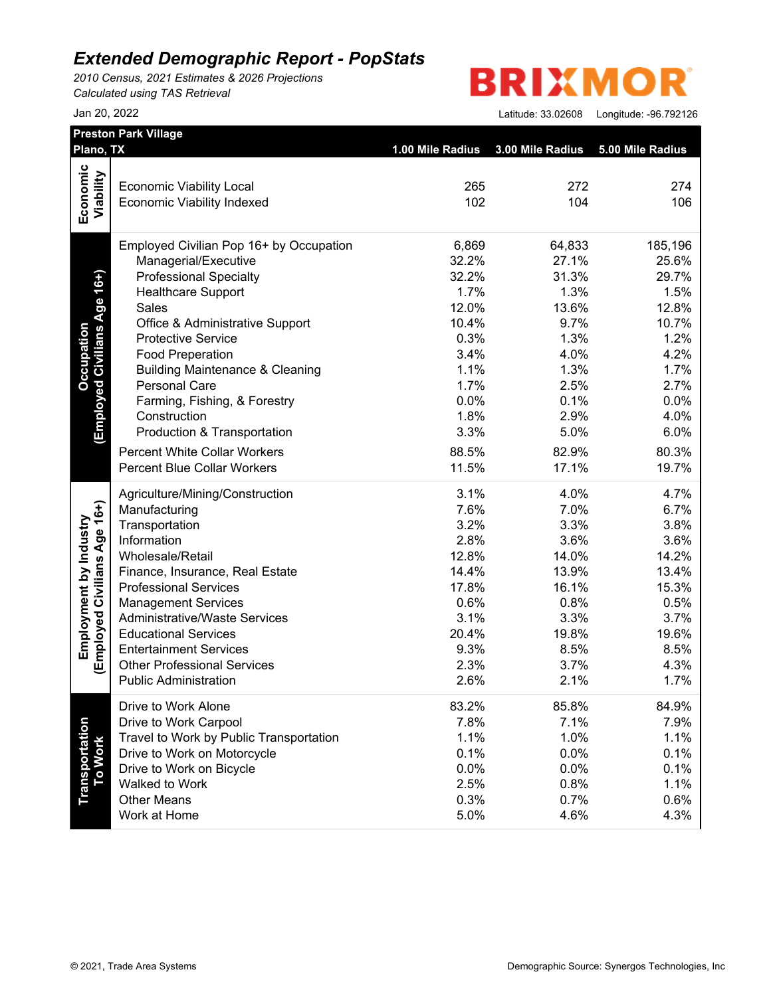*2010 Census, 2021 Estimates & 2026 Projections Calculated using TAS Retrieval*

**BRIXMOR** 

| Jan 20, 2022 | Latitude: 33.02608    Longitude: -96.792126 |
|--------------|---------------------------------------------|
|              |                                             |

| Plano, TX                         |                                                                    | 1.00 Mile Radius 3.00 Mile Radius |              | 5.00 Mile Radius |
|-----------------------------------|--------------------------------------------------------------------|-----------------------------------|--------------|------------------|
| Economic                          |                                                                    |                                   |              |                  |
|                                   | <b>Economic Viability Local</b>                                    | 265                               | 272          | 274              |
| Viability                         | <b>Economic Viability Indexed</b>                                  | 102                               | 104          | 106              |
|                                   | Employed Civilian Pop 16+ by Occupation                            | 6,869                             | 64,833       | 185,196          |
|                                   | Managerial/Executive                                               | 32.2%                             | 27.1%        | 25.6%            |
| (Employed Civilians Age 16+)      | <b>Professional Specialty</b>                                      | 32.2%                             | 31.3%        | 29.7%            |
|                                   | <b>Healthcare Support</b>                                          | 1.7%                              | 1.3%         | 1.5%             |
|                                   | <b>Sales</b>                                                       | 12.0%                             | 13.6%        | 12.8%            |
|                                   | Office & Administrative Support                                    | 10.4%                             | 9.7%         | 10.7%            |
|                                   | <b>Protective Service</b>                                          | 0.3%                              | 1.3%         | 1.2%             |
|                                   | <b>Food Preperation</b>                                            | 3.4%                              | 4.0%         | 4.2%             |
|                                   | <b>Building Maintenance &amp; Cleaning</b>                         | 1.1%                              | 1.3%         | 1.7%             |
|                                   | Personal Care                                                      | 1.7%                              | 2.5%         | 2.7%             |
|                                   | Farming, Fishing, & Forestry                                       | 0.0%                              | 0.1%         | 0.0%             |
|                                   | Construction                                                       | 1.8%                              | 2.9%         | 4.0%             |
|                                   | Production & Transportation                                        | 3.3%                              | 5.0%         | 6.0%             |
|                                   | <b>Percent White Collar Workers</b>                                | 88.5%                             | 82.9%        | 80.3%            |
|                                   | <b>Percent Blue Collar Workers</b>                                 | 11.5%                             | 17.1%        | 19.7%            |
|                                   | Agriculture/Mining/Construction                                    | 3.1%                              | 4.0%         | 4.7%             |
|                                   | Manufacturing                                                      | 7.6%                              | 7.0%         | 6.7%             |
|                                   | Transportation                                                     | 3.2%                              | 3.3%         | 3.8%             |
|                                   | Information                                                        | 2.8%                              | 3.6%         | 3.6%             |
|                                   | Wholesale/Retail                                                   | 12.8%                             | 14.0%        | 14.2%            |
|                                   | Finance, Insurance, Real Estate                                    | 14.4%                             | 13.9%        | 13.4%            |
|                                   | <b>Professional Services</b>                                       | 17.8%                             | 16.1%        | 15.3%            |
|                                   | <b>Management Services</b>                                         | 0.6%                              | 0.8%         | 0.5%             |
|                                   | <b>Administrative/Waste Services</b>                               | 3.1%                              | 3.3%         | 3.7%             |
| (Employed Civilians Age 16+)      | <b>Educational Services</b>                                        | 20.4%                             | 19.8%        | 19.6%            |
|                                   | <b>Entertainment Services</b>                                      | 9.3%                              | 8.5%         | 8.5%             |
|                                   | <b>Other Professional Services</b><br><b>Public Administration</b> | 2.3%<br>2.6%                      | 3.7%<br>2.1% | 4.3%<br>1.7%     |
|                                   | Drive to Work Alone                                                | 83.2%                             | 85.8%        | 84.9%            |
|                                   | Drive to Work Carpool                                              | 7.8%                              | 7.1%         | 7.9%             |
|                                   | Travel to Work by Public Transportation                            | 1.1%                              | 1.0%         | 1.1%             |
|                                   | Drive to Work on Motorcycle                                        | 0.1%                              | 0.0%         | 0.1%             |
|                                   | Drive to Work on Bicycle                                           | 0.0%                              | 0.0%         | 0.1%             |
|                                   | Walked to Work                                                     | 2.5%                              | 0.8%         | 1.1%             |
| <b>Transportation<br/>To Work</b> | <b>Other Means</b>                                                 | 0.3%                              | 0.7%         | 0.6%             |
|                                   | Work at Home                                                       | 5.0%                              | 4.6%         | 4.3%             |